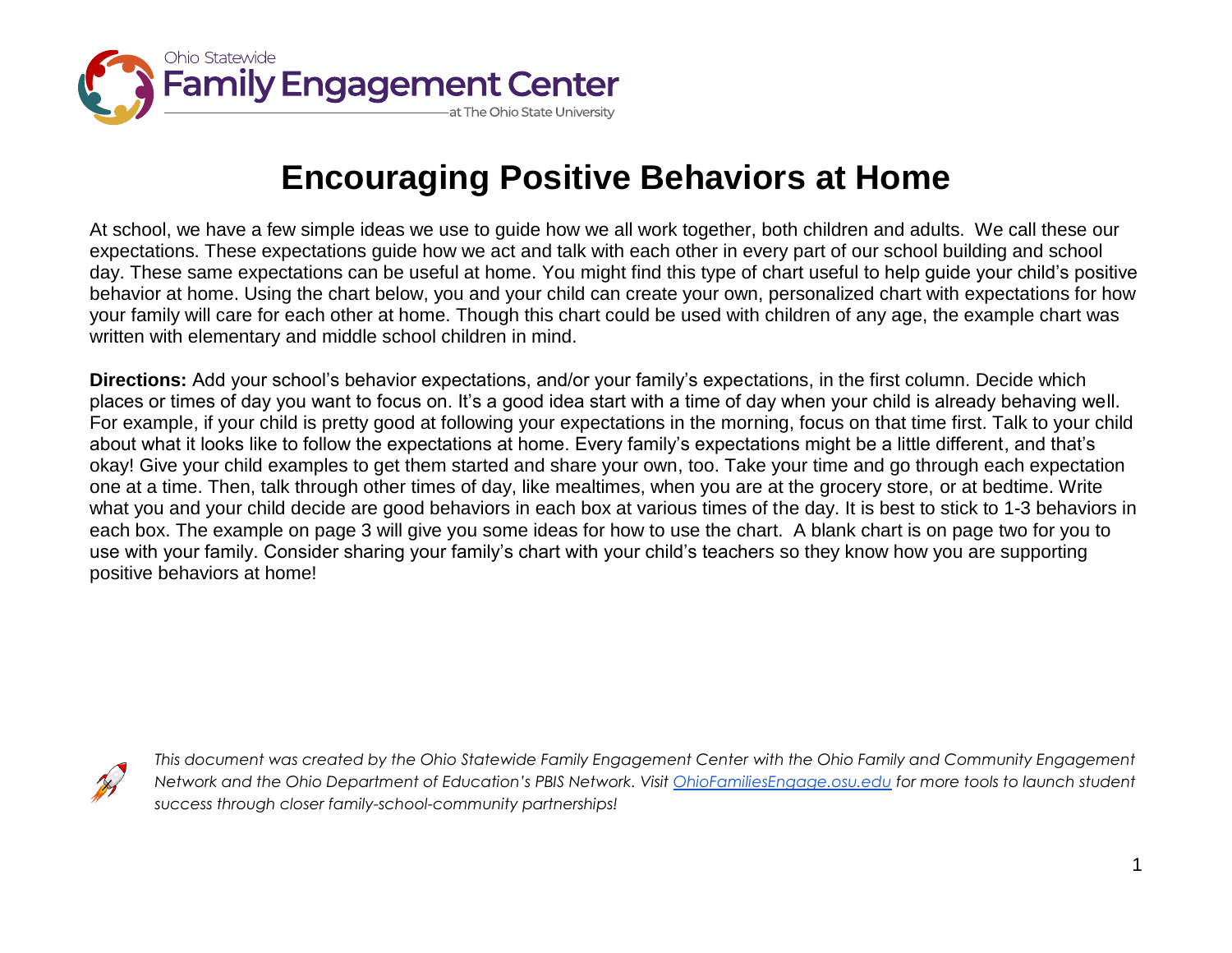

## **Encouraging Positive Behaviors at Home**

At school, we have a few simple ideas we use to guide how we all work together, both children and adults. We call these our expectations. These expectations guide how we act and talk with each other in every part of our school building and school day. These same expectations can be useful at home. You might find this type of chart useful to help guide your child's positive behavior at home. Using the chart below, you and your child can create your own, personalized chart with expectations for how your family will care for each other at home. Though this chart could be used with children of any age, the example chart was written with elementary and middle school children in mind.

**Directions:** Add your school's behavior expectations, and/or your family's expectations, in the first column. Decide which places or times of day you want to focus on. It's a good idea start with a time of day when your child is already behaving well. For example, if your child is pretty good at following your expectations in the morning, focus on that time first. Talk to your child about what it looks like to follow the expectations at home. Every family's expectations might be a little different, and that's okay! Give your child examples to get them started and share your own, too. Take your time and go through each expectation one at a time. Then, talk through other times of day, like mealtimes, when you are at the grocery store, or at bedtime. Write what you and your child decide are good behaviors in each box at various times of the day. It is best to stick to 1-3 behaviors in each box. The example on page 3 will give you some ideas for how to use the chart. A blank chart is on page two for you to use with your family. Consider sharing your family's chart with your child's teachers so they know how you are supporting positive behaviors at home!



*This document was created by the Ohio Statewide Family Engagement Center with the Ohio Family and Community Engagement Network and the Ohio Department of Education's PBIS Network. Visit [OhioFamiliesEngage.osu.edu](https://ohiofamiliesengage.osu.edu/) for more tools to launch student success through closer family-school-community partnerships!*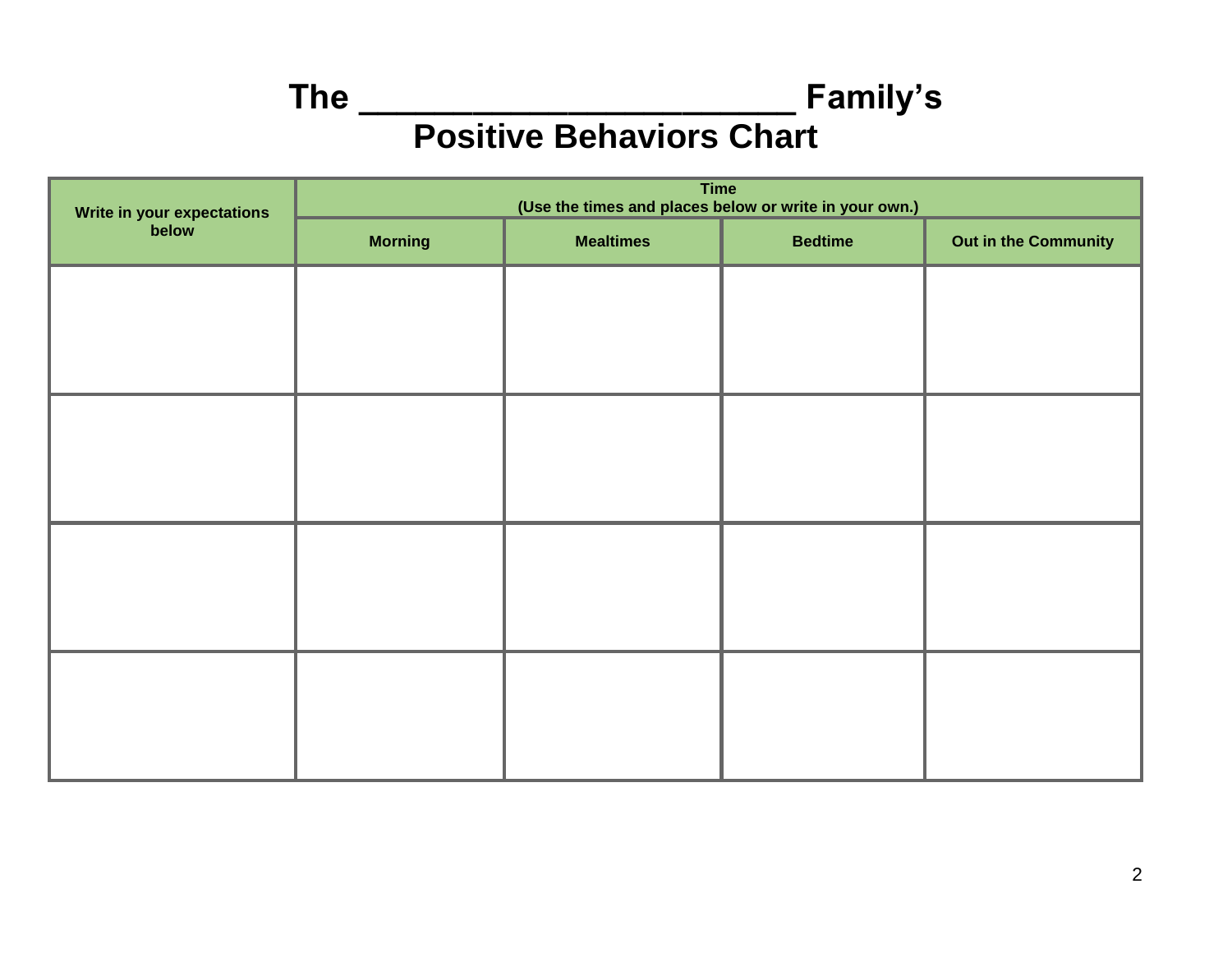**The \_\_\_\_\_\_\_\_\_\_\_\_\_\_\_\_\_\_\_\_\_\_\_ Family's Positive Behaviors Chart**

| Write in your expectations<br>below | <b>Time</b><br>(Use the times and places below or write in your own.) |                  |                |                      |  |
|-------------------------------------|-----------------------------------------------------------------------|------------------|----------------|----------------------|--|
|                                     | <b>Morning</b>                                                        | <b>Mealtimes</b> | <b>Bedtime</b> | Out in the Community |  |
|                                     |                                                                       |                  |                |                      |  |
|                                     |                                                                       |                  |                |                      |  |
|                                     |                                                                       |                  |                |                      |  |
|                                     |                                                                       |                  |                |                      |  |
|                                     |                                                                       |                  |                |                      |  |
|                                     |                                                                       |                  |                |                      |  |
|                                     |                                                                       |                  |                |                      |  |
|                                     |                                                                       |                  |                |                      |  |
|                                     |                                                                       |                  |                |                      |  |
|                                     |                                                                       |                  |                |                      |  |
|                                     |                                                                       |                  |                |                      |  |
|                                     |                                                                       |                  |                |                      |  |